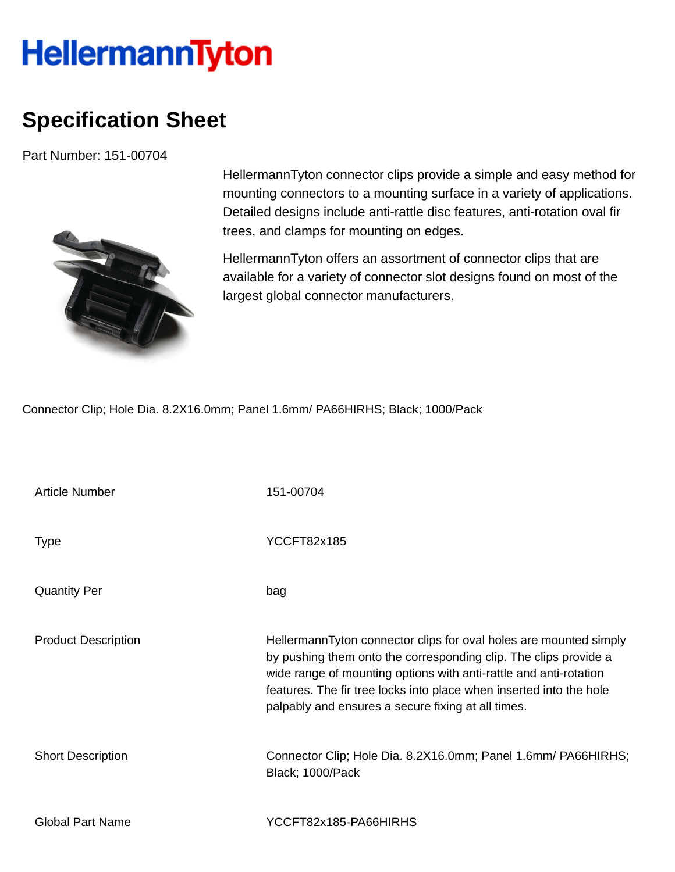## **HellermannTyton**

## **Specification Sheet**

Part Number: 151-00704



HellermannTyton connector clips provide a simple and easy method for mounting connectors to a mounting surface in a variety of applications. Detailed designs include anti-rattle disc features, anti-rotation oval fir trees, and clamps for mounting on edges.

HellermannTyton offers an assortment of connector clips that are available for a variety of connector slot designs found on most of the largest global connector manufacturers.

Connector Clip; Hole Dia. 8.2X16.0mm; Panel 1.6mm/ PA66HIRHS; Black; 1000/Pack

| Article Number             | 151-00704                                                                                                                                                                                                                                                                                                                               |
|----------------------------|-----------------------------------------------------------------------------------------------------------------------------------------------------------------------------------------------------------------------------------------------------------------------------------------------------------------------------------------|
| <b>Type</b>                | <b>YCCFT82x185</b>                                                                                                                                                                                                                                                                                                                      |
| <b>Quantity Per</b>        | bag                                                                                                                                                                                                                                                                                                                                     |
| <b>Product Description</b> | HellermannTyton connector clips for oval holes are mounted simply<br>by pushing them onto the corresponding clip. The clips provide a<br>wide range of mounting options with anti-rattle and anti-rotation<br>features. The fir tree locks into place when inserted into the hole<br>palpably and ensures a secure fixing at all times. |
| <b>Short Description</b>   | Connector Clip; Hole Dia. 8.2X16.0mm; Panel 1.6mm/ PA66HIRHS;<br>Black; 1000/Pack                                                                                                                                                                                                                                                       |
| <b>Global Part Name</b>    | YCCFT82x185-PA66HIRHS                                                                                                                                                                                                                                                                                                                   |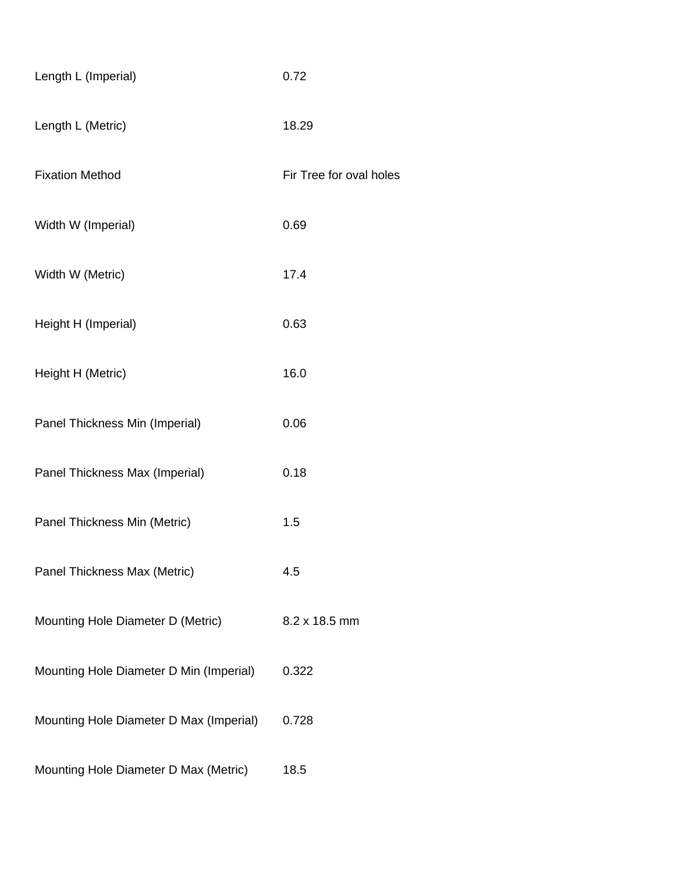| Length L (Imperial)                     | 0.72                    |
|-----------------------------------------|-------------------------|
| Length L (Metric)                       | 18.29                   |
| <b>Fixation Method</b>                  | Fir Tree for oval holes |
| Width W (Imperial)                      | 0.69                    |
| Width W (Metric)                        | 17.4                    |
| Height H (Imperial)                     | 0.63                    |
| Height H (Metric)                       | 16.0                    |
| Panel Thickness Min (Imperial)          | 0.06                    |
| Panel Thickness Max (Imperial)          | 0.18                    |
| Panel Thickness Min (Metric)            | 1.5                     |
| Panel Thickness Max (Metric)            | 4.5                     |
| Mounting Hole Diameter D (Metric)       | 8.2 x 18.5 mm           |
| Mounting Hole Diameter D Min (Imperial) | 0.322                   |
| Mounting Hole Diameter D Max (Imperial) | 0.728                   |
| Mounting Hole Diameter D Max (Metric)   | 18.5                    |